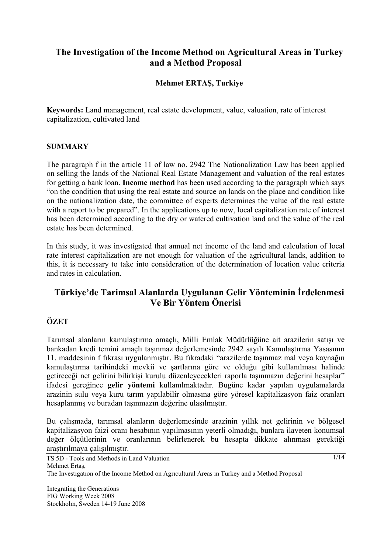## **The Investigation of the Income Method on Agricultural Areas in Turkey and a Method Proposal**

#### **Mehmet ERTAŞ, Turkiye**

**Keywords:** Land management, real estate development, value, valuation, rate of interest capitalization, cultivated land

#### **SUMMARY**

The paragraph f in the article 11 of law no. 2942 The Nationalization Law has been applied on selling the lands of the National Real Estate Management and valuation of the real estates for getting a bank loan. **Income method** has been used according to the paragraph which says "on the condition that using the real estate and source on lands on the place and condition like on the nationalization date, the committee of experts determines the value of the real estate with a report to be prepared". In the applications up to now, local capitalization rate of interest has been determined according to the dry or watered cultivation land and the value of the real estate has been determined.

In this study, it was investigated that annual net income of the land and calculation of local rate interest capitalization are not enough for valuation of the agricultural lands, addition to this, it is necessary to take into consideration of the determination of location value criteria and rates in calculation.

# **Türkiye'de Tarimsal Alanlarda Uygulanan Gelir Yönteminin İrdelenmesi Ve Bir Yöntem Önerisi**

## **ÖZET**

Tarımsal alanların kamulaştırma amaçlı, Milli Emlak Müdürlüğüne ait arazilerin satışı ve bankadan kredi temini amaçlı taşınmaz değerlemesinde 2942 sayılı Kamulaştırma Yasasının 11. maddesinin f fıkrası uygulanmıştır. Bu fıkradaki "arazilerde taşınmaz mal veya kaynağın kamulaştırma tarihindeki mevkii ve şartlarına göre ve olduğu gibi kullanılması halinde getireceği net gelirini bilirkişi kurulu düzenleyecekleri raporla taşınmazın değerini hesaplar" ifadesi gereğince **gelir yöntemi** kullanılmaktadır. Bugüne kadar yapılan uygulamalarda arazinin sulu veya kuru tarım yapılabilir olmasına göre yöresel kapitalizasyon faiz oranları hesaplanmış ve buradan taşınmazın değerine ulaşılmıştır.

Bu çalışmada, tarımsal alanların değerlemesinde arazinin yıllık net gelirinin ve bölgesel kapitalizasyon faizi oranı hesabının yapılmasının yeterli olmadığı, bunlara ilaveten konumsal değer ölçütlerinin ve oranlarının belirlenerek bu hesapta dikkate alınması gerektiği araştırılmaya çalışılmıştır.

TS 5D - Tools and Methods in Land Valuation Mehmet Ertaş, The Investıgatıon of the Income Method on Agrıcultural Areas ın Turkey and a Method Proposal

Integrating the Generations FIG Working Week 2008 Stockholm, Sweden 14-19 June 2008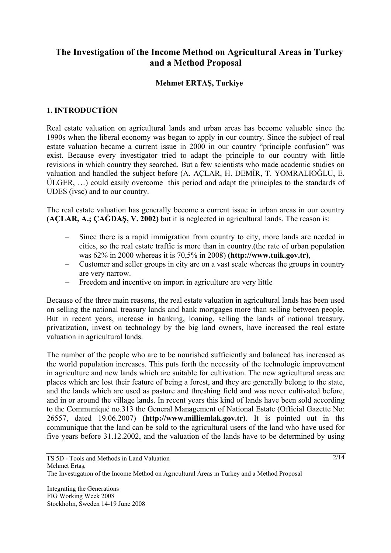## **The Investigation of the Income Method on Agricultural Areas in Turkey and a Method Proposal**

#### **Mehmet ERTAŞ, Turkiye**

#### **1. INTRODUCTİON**

Real estate valuation on agricultural lands and urban areas has become valuable since the 1990s when the liberal economy was began to apply in our country. Since the subject of real estate valuation became a current issue in 2000 in our country "principle confusion" was exist. Because every investigator tried to adapt the principle to our country with little revisions in which country they searched. But a few scientists who made academic studies on valuation and handled the subject before (A. AÇLAR, H. DEMİR, T. YOMRALIOĞLU, E. ÜLGER, …) could easily overcome this period and adapt the principles to the standards of UDES (ivsc) and to our country.

The real estate valuation has generally become a current issue in urban areas in our country **(AÇLAR, A.; ÇAĞDAŞ, V. 2002)** but it is neglected in agricultural lands. The reason is:

- Since there is a rapid immigration from country to city, more lands are needed in cities, so the real estate traffic is more than in country.(the rate of urban population was 62% in 2000 whereas it is 70,5% in 2008) **(http://www.tuik.gov.tr)**,
- Customer and seller groups in city are on a vast scale whereas the groups in country are very narrow.
- Freedom and incentive on import in agriculture are very little

Because of the three main reasons, the real estate valuation in agricultural lands has been used on selling the national treasury lands and bank mortgages more than selling between people. But in recent years, increase in banking, loaning, selling the lands of national treasury, privatization, invest on technology by the big land owners, have increased the real estate valuation in agricultural lands.

The number of the people who are to be nourished sufficiently and balanced has increased as the world population increases. This puts forth the necessity of the technologic improvement in agriculture and new lands which are suitable for cultivation. The new agricultural areas are places which are lost their feature of being a forest, and they are generally belong to the state, and the lands which are used as pasture and threshing field and was never cultivated before, and in or around the village lands. In recent years this kind of lands have been sold according to the Communiqué no.313 the General Management of National Estate (Official Gazette No: 26557, dated 19.06.2007) **(http://www.milliemlak.gov.tr)**. It is pointed out in ths communique that the land can be sold to the agricultural users of the land who have used for five years before 31.12.2002, and the valuation of the lands have to be determined by using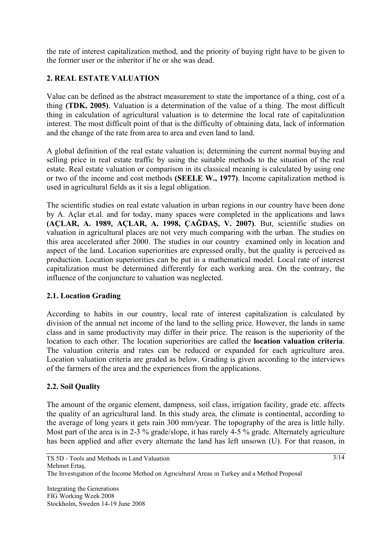the rate of interest capitalization method, and the priority of buying right have to be given to the former user or the inheritor if he or she was dead.

## **2. REAL ESTATE VALUATION**

Value can be defined as the abstract measurement to state the importance of a thing, cost of a thing **(TDK, 2005)**. Valuation is a determination of the value of a thing. The most difficult thing in calculation of agricultural valuation is to determine the local rate of capitalization interest. The most difficult point of that is the difficulty of obtaining data, lack of information and the change of the rate from area to area and even land to land.

A global definition of the real estate valuation is; determining the current normal buying and selling price in real estate traffic by using the suitable methods to the situation of the real estate. Real estate valuation or comparison in its classical meaning is calculated by using one or two of the income and cost methods **(SEELE W., 1977)**. Income capitalization method is used in agricultural fields as it sis a legal obligation.

The scientific studies on real estate valuation in urban regions in our country have been done by A. Açlar et.al. and for today, many spaces were completed in the applications and laws **(AÇLAR, A. 1989, AÇLAR, A. 1998, ÇAĞDAŞ, V. 2007)**. But, scientific studies on valuation in agricultural places are not very much comparing with the urban. The studies on this area accelerated after 2000. The studies in our country examined only in location and aspect of the land. Location superiorities are expressed orally, but the quality is perceived as production. Location superiorities can be put in a mathematical model. Local rate of interest capitalization must be determined differently for each working area. On the contrary, the influence of the conjuncture to valuation was neglected.

## **2.1. Location Grading**

According to habits in our country, local rate of interest capitalization is calculated by division of the annual net income of the land to the selling price. However, the lands in same class and in same productivity may differ in their price. The reason is the superiority of the location to each other. The location superiorities are called the **location valuation criteria**. The valuation criteria and rates can be reduced or expanded for each agriculture area. Location valuation criteria are graded as below. Grading is given according to the interviews of the farmers of the area and the experiences from the applications.

#### **2.2. Soil Quality**

The amount of the organic element, dampness, soil class, irrigation facility, grade etc. affects the quality of an agricultural land. In this study area, the climate is continental, according to the average of long years it gets rain 300 mm/year. The topography of the area is little hilly. Most part of the area is in 2-3 % grade/slope, it has rarely 4-5 % grade. Alternately agriculture has been applied and after every alternate the land has left unsown (U). For that reason, in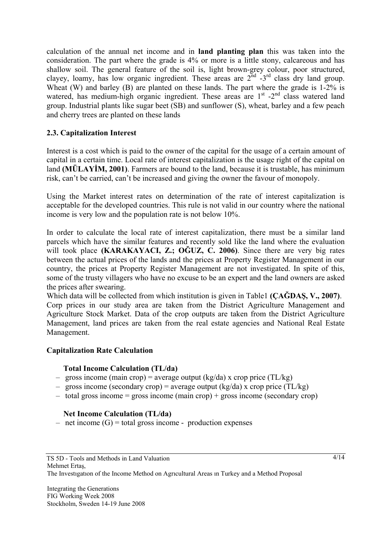calculation of the annual net income and in **land planting plan** this was taken into the consideration. The part where the grade is 4% or more is a little stony, calcareous and has shallow soil. The general feature of the soil is, light brown-grey colour, poor structured, clayey, loamy, has low organic ingredient. These areas are  $2<sup>nd</sup> - 3<sup>rd</sup>$  class dry land group. Wheat (W) and barley (B) are planted on these lands. The part where the grade is 1-2% is watered, has medium-high organic ingredient. These areas are  $1<sup>st</sup>$  -2<sup>nd</sup> class watered land group. Industrial plants like sugar beet (SB) and sunflower (S), wheat, barley and a few peach and cherry trees are planted on these lands

#### **2.3. Capitalization Interest**

Interest is a cost which is paid to the owner of the capital for the usage of a certain amount of capital in a certain time. Local rate of interest capitalization is the usage right of the capital on land **(MÜLAYİM, 2001)**. Farmers are bound to the land, because it is trustable, has minimum risk, can't be carried, can't be increased and giving the owner the favour of monopoly.

Using the Market interest rates on determination of the rate of interest capitalization is acceptable for the developed countries. This rule is not valid in our country where the national income is very low and the population rate is not below 10%.

In order to calculate the local rate of interest capitalization, there must be a similar land parcels which have the similar features and recently sold like the land where the evaluation will took place **(KARAKAYACI, Z.; OĞUZ, C. 2006)**. Since there are very big rates between the actual prices of the lands and the prices at Property Register Management in our country, the prices at Property Register Management are not investigated. In spite of this, some of the trusty villagers who have no excuse to be an expert and the land owners are asked the prices after swearing.

Which data will be collected from which institution is given in Table1 **(ÇAĞDAŞ, V., 2007)**. Corp prices in our study area are taken from the District Agriculture Management and Agriculture Stock Market. Data of the crop outputs are taken from the District Agriculture Management, land prices are taken from the real estate agencies and National Real Estate Management.

#### **Capitalization Rate Calculation**

#### **Total Income Calculation (TL/da)**

- gross income (main crop) = average output (kg/da) x crop price (TL/kg)
- gross income (secondary crop) = average output (kg/da) x crop price (TL/kg)
- $-$  total gross income = gross income (main crop) + gross income (secondary crop)

#### **Net Income Calculation (TL/da)**

– net income  $(G)$  = total gross income - production expenses

Integrating the Generations FIG Working Week 2008 Stockholm, Sweden 14-19 June 2008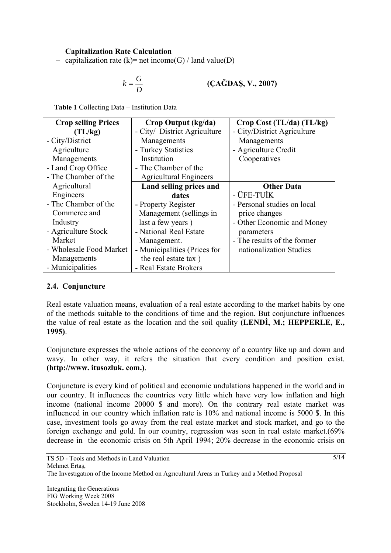### **Capitalization Rate Calculation**

– capitalization rate (k)= net income(G) / land value(D)

$$
k = \frac{G}{D}
$$
 (CA\breve{G}DAS, V., 2007)

**Table 1** Collecting Data – Institution Data

| <b>Crop selling Prices</b> | Crop Output (kg/da)           | Crop Cost (TL/da) (TL/kg)   |
|----------------------------|-------------------------------|-----------------------------|
| (TL/kg)                    | - City/ District Agriculture  | - City/District Agriculture |
| - City/District            | Managements                   | Managements                 |
| Agriculture                | - Turkey Statistics           | - Agriculture Credit        |
| Managements                | Institution                   | Cooperatives                |
| - Land Crop Office         | - The Chamber of the          |                             |
| - The Chamber of the       | <b>Agricultural Engineers</b> |                             |
| Agricultural               | Land selling prices and       | <b>Other Data</b>           |
| Engineers                  | dates                         | - ÜFE-TUİK                  |
| - The Chamber of the       | - Property Register           | - Personal studies on local |
| Commerce and               | Management (sellings in       | price changes               |
| Industry                   | last a few years)             | - Other Economic and Money  |
| - Agriculture Stock        | - National Real Estate        | parameters                  |
| Market                     | Management.                   | - The results of the former |
| - Wholesale Food Market    | - Municipalities (Prices for  | nationalization Studies     |
| Managements                | the real estate tax)          |                             |
| - Municipalities           | - Real Estate Brokers         |                             |

#### **2.4. Conjuncture**

Real estate valuation means, evaluation of a real estate according to the market habits by one of the methods suitable to the conditions of time and the region. But conjuncture influences the value of real estate as the location and the soil quality **(LENDİ, M.; HEPPERLE, E., 1995)**.

Conjuncture expresses the whole actions of the economy of a country like up and down and wavy. In other way, it refers the situation that every condition and position exist. **(http://www. itusozluk. com.)**.

Conjuncture is every kind of political and economic undulations happened in the world and in our country. It influences the countries very little which have very low inflation and high income (national income 20000 \$ and more). On the contrary real estate market was influenced in our country which inflation rate is 10% and national income is 5000 \$. In this case, investment tools go away from the real estate market and stock market, and go to the foreign exchange and gold. In our country, regression was seen in real estate market.(69% decrease in the economic crisis on 5th April 1994; 20% decrease in the economic crisis on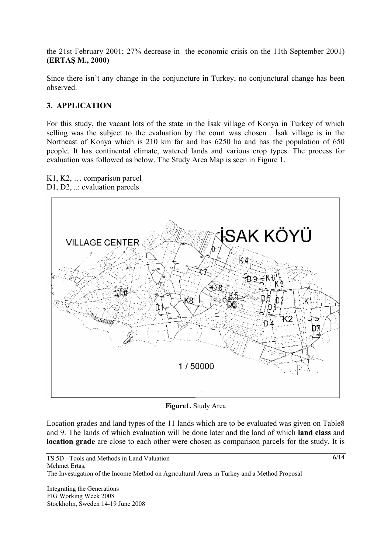the 21st February 2001; 27% decrease in the economic crisis on the 11th September 2001) **(ERTAŞ M., 2000)** 

Since there isn't any change in the conjuncture in Turkey, no conjunctural change has been observed.

### **3. APPLICATION**

For this study, the vacant lots of the state in the İsak village of Konya in Turkey of which selling was the subject to the evaluation by the court was chosen . İsak village is in the Northeast of Konya which is 210 km far and has 6250 ha and has the population of 650 people. It has continental climate, watered lands and various crop types. The process for evaluation was followed as below. The Study Area Map is seen in Figure 1.



K1, K2, … comparison parcel D1, D2, ... evaluation parcels

**Figure1.** Study Area

Location grades and land types of the 11 lands which are to be evaluated was given on Table8 and 9. The lands of which evaluation will be done later and the land of which **land class** and **location grade** are close to each other were chosen as comparison parcels for the study. It is

Integrating the Generations FIG Working Week 2008 Stockholm, Sweden 14-19 June 2008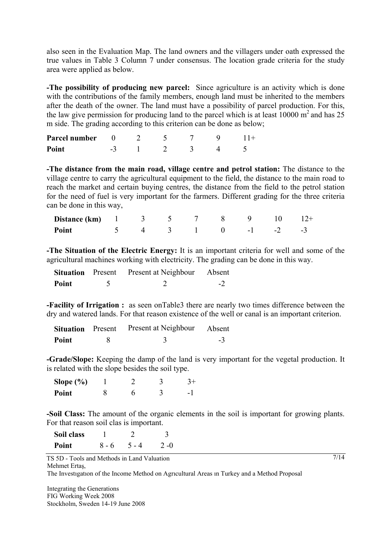also seen in the Evaluation Map. The land owners and the villagers under oath expressed the true values in Table 3 Column 7 under consensus. The location grade criteria for the study area were applied as below.

**-The possibility of producing new parcel:** Since agriculture is an activity which is done with the contributions of the family members, enough land must be inherited to the members after the death of the owner. The land must have a possibility of parcel production. For this, the law give permission for producing land to the parcel which is at least  $10000 \text{ m}^2$  and has 25 m side. The grading according to this criterion can be done as below;

| Parcel number |   |  |  |  |
|---------------|---|--|--|--|
| Point         | - |  |  |  |

**-The distance from the main road, village centre and petrol station:** The distance to the village centre to carry the agricultural equipment to the field, the distance to the main road to reach the market and certain buying centres, the distance from the field to the petrol station for the need of fuel is very important for the farmers. Different grading for the three criteria can be done in this way,

| <b>Distance (km)</b> $1 \t3 \t5 \t7 \t8 \t9 \t10 \t12+$ |  |  |  |  |
|---------------------------------------------------------|--|--|--|--|
| Point<br>$5 \t 4 \t 3 \t 1 \t 0 \t -1 \t -2 \t -3$      |  |  |  |  |

**-The Situation of the Electric Energy:** It is an important criteria for well and some of the agricultural machines working with electricity. The grading can be done in this way.

|       | <b>Situation</b> Present Present at Neighbour Absent |      |
|-------|------------------------------------------------------|------|
| Point |                                                      | $-2$ |

**-Facility of Irrigation :** as seen onTable3 there are nearly two times difference between the dry and watered lands. For that reason existence of the well or canal is an important criterion.

| <b>Situation</b> Present | Present at Neighbour | Absent |
|--------------------------|----------------------|--------|
| Point                    |                      | $-3$   |

**-Grade/Slope:** Keeping the damp of the land is very important for the vegetal production. It is related with the slope besides the soil type.

| Slope $(\% )$ |  |  |
|---------------|--|--|
| Point         |  |  |

**-Soil Class:** The amount of the organic elements in the soil is important for growing plants. For that reason soil clas is important.

| Soil class |         |         |         |
|------------|---------|---------|---------|
| Point      | $8 - 6$ | $5 - 4$ | $2 - 0$ |

TS 5D - Tools and Methods in Land Valuation Mehmet Ertaş,

The Investıgatıon of the Income Method on Agrıcultural Areas ın Turkey and a Method Proposal

Integrating the Generations FIG Working Week 2008 Stockholm, Sweden 14-19 June 2008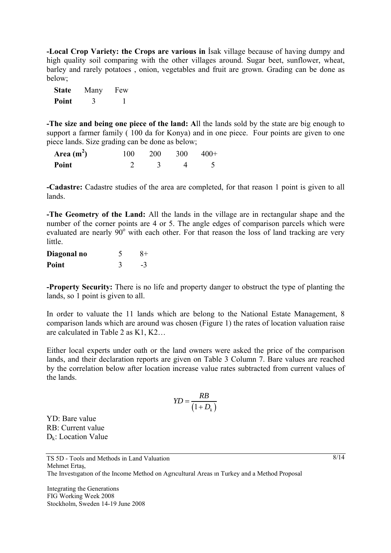**-Local Crop Variety: the Crops are various in** İsak village because of having dumpy and high quality soil comparing with the other villages around. Sugar beet, sunflower, wheat, barley and rarely potatoes , onion, vegetables and fruit are grown. Grading can be done as below;

| <b>State</b> | Many | Few |
|--------------|------|-----|
| Point        | 3    |     |

**-The size and being one piece of the land: A**ll the lands sold by the state are big enough to support a farmer family ( 100 da for Konya) and in one piece. Four points are given to one piece lands. Size grading can be done as below;

| Area $(m2)$ | 100 | 200 | <b>300</b> | $400+$ |
|-------------|-----|-----|------------|--------|
| Point       |     |     |            |        |

**-Cadastre:** Cadastre studies of the area are completed, for that reason 1 point is given to all lands.

**-The Geometry of the Land:** All the lands in the village are in rectangular shape and the number of the corner points are 4 or 5. The angle edges of comparison parcels which were evaluated are nearly  $90^{\circ}$  with each other. For that reason the loss of land tracking are very little.

| Diagonal no | $8+$ |
|-------------|------|
| Point       | -3   |

**-Property Security:** There is no life and property danger to obstruct the type of planting the lands, so 1 point is given to all.

In order to valuate the 11 lands which are belong to the National Estate Management, 8 comparison lands which are around was chosen (Figure 1) the rates of location valuation raise are calculated in Table 2 as K1, K2…

Either local experts under oath or the land owners were asked the price of the comparison lands, and their declaration reports are given on Table 3 Column 7. Bare values are reached by the correlation below after location increase value rates subtracted from current values of the lands.

$$
YD = \frac{RB}{\left(1 + D_k\right)}
$$

YD: Bare value RB: Current value  $D_k$ : Location Value

Integrating the Generations FIG Working Week 2008 Stockholm, Sweden 14-19 June 2008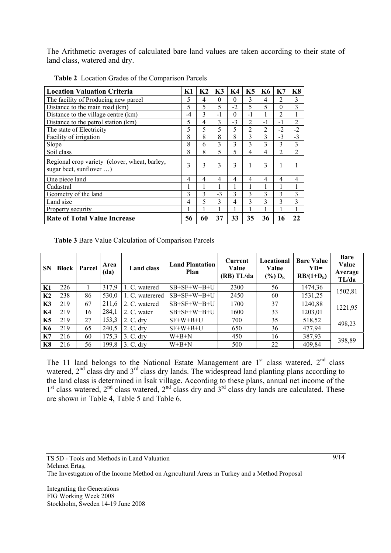The Arithmetic averages of calculated bare land values are taken according to their state of land class, watered and dry.

| <b>Location Valuation Criteria</b>                                       | K1   | K <sub>2</sub> | K3             | K4       | K <sub>5</sub> | <b>K6</b>      | K7             | K <sub>8</sub> |
|--------------------------------------------------------------------------|------|----------------|----------------|----------|----------------|----------------|----------------|----------------|
| The facility of Producing new parcel                                     | 5    | 4              | $\theta$       | $\theta$ | 3              | 4              | $\overline{c}$ | 3              |
| Distance to the main road (km)                                           | 5    | 5              | 5              | $-2$     | 5              | 5              | $\Omega$       | 3              |
| Distance to the village centre (km)                                      | $-4$ | 3              | $-1$           | $\theta$ | $-1$           |                | $\overline{2}$ |                |
| Distance to the petrol station (km)                                      | 5    | 4              | 3              | $-3$     | $\overline{2}$ | $-1$           | $-1$           | $\overline{2}$ |
| The state of Electricity                                                 | 5    | 5              | 5              | 5        | $\overline{2}$ | $\overline{2}$ | $-2$           | $-2$           |
| Facility of irrigation                                                   | 8    | 8              | 8              | 8        | 3              | 3              | $-3$           | $-3$           |
| Slope                                                                    | 8    | 6              | 3              | 3        | 3              | 3              | 3              | 3              |
| Soil class                                                               | 8    | 8              | 5              | 5        | 4              | 4              | $\overline{2}$ | $\overline{2}$ |
| Regional crop variety (clover, wheat, barley,<br>sugar beet, sunflover ) | 3    | 3              | 3              | 3        | 1              | 3              | 1              |                |
| One piece land                                                           | 4    | 4              | $\overline{4}$ | 4        | 4              | $\overline{4}$ | 4              | 4              |
| Cadastral                                                                | 1    |                | 1              |          |                |                |                | 1              |
| Geometry of the land                                                     | 3    | 3              | $-3$           | 3        | 3              | 3              | 3              | 3              |
| Land size                                                                | 4    | 5              | 3              | 4        | 3              | 3              | 3              | 3              |
| Property security                                                        | 1    |                | 1              |          |                |                |                | 1              |
| <b>Rate of Total Value Increase</b>                                      | 56   | 60             | 37             | 33       | 35             | 36             | 16             | 22             |

**Table 2** Location Grades of the Comparison Parcels

**Table 3** Bare Value Calculation of Comparison Parcels

| <b>SN</b>      | <b>Block</b> | Parcel | Area<br>(da) | <b>Land class</b> | <b>Land Plantation</b><br>Plan | Current<br>Value<br>(RB)TL/da | Locational<br>Value<br>$(\%) D_{k}$ | <b>Bare Value</b><br>$YD=$<br>$RB/(1+D_k)$ | <b>Bare</b><br>Value<br>Average<br>TL/da |
|----------------|--------------|--------|--------------|-------------------|--------------------------------|-------------------------------|-------------------------------------|--------------------------------------------|------------------------------------------|
| K1             | 226          |        | 317,9        | 1. C. watered     | $SB+SF+W+B+U$                  | 2300                          | 56                                  | 1474,36                                    | 1502,81                                  |
| K <sub>2</sub> | 238          | 86     | 530,0        | 1. C. waterered   | $SB+SF+W+B+U$                  | 2450                          | 60                                  | 1531,25                                    |                                          |
| K <sub>3</sub> | 219          | 67     | 211,6        | 2. C. watered     | $SB+SF+W+B+U$                  | 1700                          | 37                                  | 1240,88                                    | 1221,95                                  |
| K4             | 219          | 16     | 284,1        | 2. C. water       | $SB+SF+W+B+U$                  | 1600                          | 33                                  | 1203,01                                    |                                          |
| <b>K5</b>      | 219          | 27     | 153,3        | $2. C.$ dry       | $SF+W+B+U$                     | 700                           | 35                                  | 518,52                                     | 498,23                                   |
| <b>K6</b>      | 219          | 65     | 240,5        | $2. C.$ dry       | $SF+W+B+U$                     | 650                           | 36                                  | 477,94                                     |                                          |
| K7             | 216          | 60     | 175,3        | $3. C.$ dry       | $W+B+N$                        | 450                           | 16                                  | 387,93                                     | 398,89                                   |
| K8             | 216          | 56     | 199,8        | $3. C.$ dry       | $W+B+N$                        | 500                           | 22                                  | 409,84                                     |                                          |

The 11 land belongs to the National Estate Management are  $1<sup>st</sup>$  class watered,  $2<sup>nd</sup>$  class watered,  $2<sup>nd</sup>$  class dry and  $3<sup>rd</sup>$  class dry lands. The widespread land planting plans according to the land class is determined in İsak village. According to these plans, annual net income of the  $1<sup>st</sup>$  class watered,  $2<sup>nd</sup>$  class watered,  $2<sup>nd</sup>$  class dry and  $3<sup>rd</sup>$  class dry lands are calculated. These are shown in Table 4, Table 5 and Table 6.

TS 5D - Tools and Methods in Land Valuation Mehmet Ertaş, The Investıgatıon of the Income Method on Agrıcultural Areas ın Turkey and a Method Proposal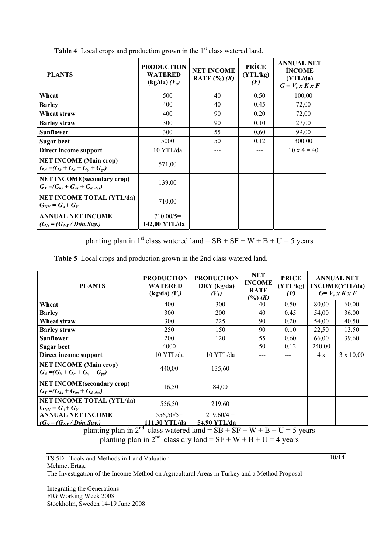| <b>PLANTS</b>                                                                | <b>PRODUCTION</b><br><b>WATERED</b><br>$(kg/da)$ $(V_s)$ | <b>NET INCOME</b><br>RATE $(\%)(K)$ | <b>PRİCE</b><br>(YTL/kg)<br>(F) | <b>ANNUAL NET</b><br><b>INCOME</b><br>(YTL/da)<br>$G = V_s x K x F$ |
|------------------------------------------------------------------------------|----------------------------------------------------------|-------------------------------------|---------------------------------|---------------------------------------------------------------------|
| Wheat                                                                        | 500                                                      | 40                                  | 0.50                            | 100,00                                                              |
| <b>Barley</b>                                                                | 400                                                      | 40                                  | 0.45                            | 72,00                                                               |
| Wheat straw                                                                  | 400                                                      | 90                                  | 0.20                            | 72,00                                                               |
| <b>Barley straw</b>                                                          | 300                                                      | 90                                  | 0.10                            | 27,00                                                               |
| Sunflower                                                                    | 300                                                      | 55                                  | 0,60                            | 99,00                                                               |
| Sugar beet                                                                   | 5000                                                     | 50                                  | 0.12                            | 300.00                                                              |
| Direct income support                                                        | $10$ YTL/da                                              |                                     |                                 | $10 \times 4 = 40$                                                  |
| <b>NET INCOME (Main crop)</b><br>$G_A = (G_b + G_a + G_v + G_{so})$          | 571,00                                                   |                                     |                                 |                                                                     |
| <b>NET INCOME</b> (secondary crop)<br>$G_Y = (G_{bs} + G_{as} + G_{d, des})$ | 139,00                                                   |                                     |                                 |                                                                     |
| <b>NET INCOME TOTAL (YTL/da)</b><br>$G_{\text{NY}} = G_A + G_Y$              | 710,00                                                   |                                     |                                 |                                                                     |
| <b>ANNUAL NET INCOME</b><br>$(G_N = (G_{NY}/D\ddot{o}n.Say.)$                | $710,00/5=$<br>142,00 YTL/da                             |                                     |                                 |                                                                     |

**Table 4** Local crops and production grown in the 1<sup>st</sup> class watered land.

planting plan in 1<sup>st</sup> class watered land =  $SB + SF + W + B + U = 5$  years

**Table 5** Local crops and production grown in the 2nd class watered land.

| <b>PLANTS</b>                                                                | <b>PRODUCTION</b><br><b>WATERED</b><br>$(kg/da) (V_s)$ | <b>PRODUCTION</b><br>DRY ( $kg/da$ )<br>$(V_k)$                                                                                     |     | <b>PRICE</b><br>(YTL/kg)<br>(F) | <b>ANNUAL NET</b><br><b>INCOME(YTL/da)</b><br>$G=V_s x K x F$ |                  |  |
|------------------------------------------------------------------------------|--------------------------------------------------------|-------------------------------------------------------------------------------------------------------------------------------------|-----|---------------------------------|---------------------------------------------------------------|------------------|--|
| Wheat                                                                        | 400                                                    | 300                                                                                                                                 | 40  | 0.50                            | 80,00                                                         | 60,00            |  |
| <b>Barley</b>                                                                | 300                                                    | <b>200</b>                                                                                                                          | 40  | 0.45                            | 54,00                                                         | 36,00            |  |
| Wheat straw                                                                  | 300                                                    | 225                                                                                                                                 | 90  | 0.20                            | 54,00                                                         | 40,50            |  |
| <b>Barley straw</b>                                                          | 250                                                    | 150                                                                                                                                 | 90  | 0.10                            | 22,50                                                         | 13,50            |  |
| <b>Sunflower</b>                                                             | 200                                                    | 120                                                                                                                                 | 55  | 0,60                            | 66,00                                                         | 39,60            |  |
| <b>Sugar beet</b>                                                            | 4000                                                   | ---                                                                                                                                 | 50  | 0.12                            | 240,00                                                        |                  |  |
| Direct income support                                                        | 10 YTL/da                                              | $10$ YTL/da                                                                                                                         | --- | ---                             | 4 x                                                           | $3 \times 10,00$ |  |
| <b>NET INCOME (Main crop)</b><br>$G_A = (G_b + G_a + G_v + G_{sp})$          | 440,00                                                 | 135,60                                                                                                                              |     |                                 |                                                               |                  |  |
| <b>NET INCOME</b> (secondary crop)<br>$G_Y = (G_{bs} + G_{as} + G_{d, des})$ | 116,50                                                 | 84,00                                                                                                                               |     |                                 |                                                               |                  |  |
| <b>NET INCOME TOTAL (YTL/da)</b><br>$G_{\rm NV} = G_4 + G_Y$                 | 556,50                                                 | 219,60                                                                                                                              |     |                                 |                                                               |                  |  |
| <b>ANNUAL NET INCOME</b>                                                     | $556,50/5=$                                            | $219,60/4 =$                                                                                                                        |     |                                 |                                                               |                  |  |
| $(G_N = (G_{NY}/D\ddot{o}n.Sav.)$<br>planting plan in 2 <sup>nd</sup>        | 111,30 YTL/da                                          | 54.90 YTL/da<br>class watered land = $\overline{SR}$ + $\overline{SF}$ + $\overline{W}$ + $\overline{R}$ + $\overline{I}$ = 5 years |     |                                 |                                                               |                  |  |

planting plan in  $2^{nd}$  class watered land =  $SB + SF + W + B + U = 5$  years planting plan in  $2^{nd}$  class dry land = SF + W + B + U = 4 years

TS 5D - Tools and Methods in Land Valuation Mehmet Ertaş, The Investıgatıon of the Income Method on Agrıcultural Areas ın Turkey and a Method Proposal

Integrating the Generations FIG Working Week 2008 Stockholm, Sweden 14-19 June 2008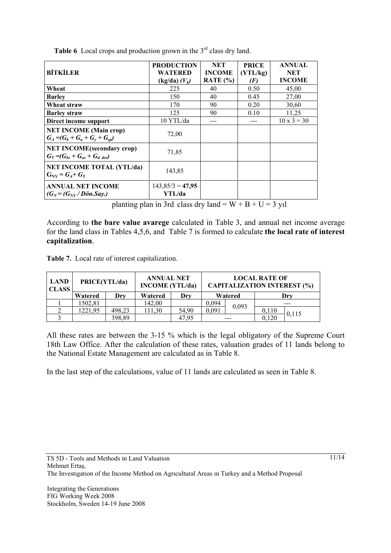| <b>BİTKİLER</b>                                                             | <b>PRODUCTION</b><br><b>WATERED</b><br>$(kg/da)$ $(Vk)$ | <b>NET</b><br><b>INCOME</b><br>RATE $(\% )$ | <b>PRICE</b><br>(YTL/kg)<br>(F) | <b>ANNUAL</b><br>NET<br><b>INCOME</b> |
|-----------------------------------------------------------------------------|---------------------------------------------------------|---------------------------------------------|---------------------------------|---------------------------------------|
| Wheat                                                                       | 225                                                     | 40                                          | 0.50                            | 45,00                                 |
| <b>Barley</b>                                                               | 150                                                     | 40                                          | 0.45                            | 27,00                                 |
| Wheat straw                                                                 | 170                                                     | 90                                          | 0.20                            | 30,60                                 |
| <b>Barley straw</b>                                                         | 125                                                     | 90                                          | 0.10                            | 11,25                                 |
| Direct income support                                                       | 10 YTL/da                                               |                                             |                                 | $10 \times 3 = 30$                    |
| <b>NET INCOME (Main crop)</b><br>$G_A = (G_b + G_a + G_v + G_{sn})$         | 72,00                                                   |                                             |                                 |                                       |
| <b>NET INCOME(secondary crop)</b><br>$G_Y = (G_{bs} + G_{as} + G_{d, des})$ | 71,85                                                   |                                             |                                 |                                       |
| <b>NET INCOME TOTAL (YTL/da)</b><br>$G_{\text{NV}} = G_A + G_Y$             | 143,85                                                  |                                             |                                 |                                       |
| <b>ANNUAL NET INCOME</b><br>$(G_N = (G_{NY}/D\ddot{o}n.Say.)$               | $143,85/3 = 47,95$<br>YTL/da                            |                                             |                                 |                                       |

**Table 6** Local crops and production grown in the 3<sup>rd</sup> class dry land.

planting plan in 3rd class dry land =  $W + B + U = 3$  yıl

According to **the bare value avarege** calculated in Table 3, and annual net income average for the land class in Tables 4,5,6, and Table 7 is formed to calculate **the local rate of interest capitalization**.

**Table 7.** Local rate of interest capitalization.

| <b>LAND</b><br><b>CLASS</b> | PRICE(YTL/da) |        | <b>ANNUAL NET</b><br><b>INCOME</b> (YTL/da) |       | <b>LOCAL RATE OF</b><br><b>CAPITALIZATION INTEREST (%)</b> |       |       |       |
|-----------------------------|---------------|--------|---------------------------------------------|-------|------------------------------------------------------------|-------|-------|-------|
|                             | Watered       | Drv    | Watered                                     | Drv   | Watered                                                    |       | Drv   |       |
|                             | 1502,81       |        | 142,00                                      |       | 0.094                                                      | 0,093 |       |       |
|                             | 1221.95       | 498,23 | 111.30                                      | 54,90 | 0,091                                                      |       | 0,110 | 0,115 |
|                             |               | 398,89 |                                             | 47.95 |                                                            |       | 0.120 |       |

All these rates are between the 3-15 % which is the legal obligatory of the Supreme Court 18th Law Office. After the calculation of these rates, valuation grades of 11 lands belong to the National Estate Management are calculated as in Table 8.

In the last step of the calculations, value of 11 lands are calculated as seen in Table 8.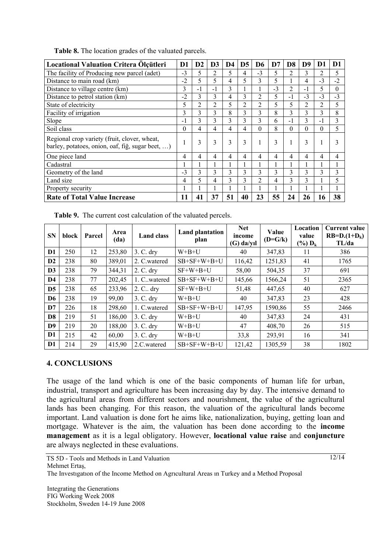| Locational Valuation Critera Ölçütleri                                                           | D1       | D <sub>2</sub> | D <sub>3</sub> | D4 | D <sub>5</sub> | D6             | D7   | D <sub>8</sub> | D9       | D <sub>1</sub> | D <sub>1</sub> |
|--------------------------------------------------------------------------------------------------|----------|----------------|----------------|----|----------------|----------------|------|----------------|----------|----------------|----------------|
| The facility of Producing new parcel (adet)                                                      | $-3$     | 5              | 2              | 5  | 4              | $-3$           | 5    | 2              | 3        | 2              | 5              |
| Distance to main road (km)                                                                       | $-2$     | 5              | 5              | 4  | 5              | 3              | 5    |                | 4        | $-3$           | $-2$           |
| Distance to village centre (km)                                                                  | 3        | $-1$           | $-1$           | 3  | 1              |                | $-3$ | $\overline{2}$ | $-1$     | 5              | $\theta$       |
| Distance to petrol station (km)                                                                  | $-2$     | 3              | 3              | 4  | 3              | $\overline{c}$ | 5.   | $-1$           | $-3$     | $-3$           | $-3$           |
| State of electricity                                                                             | 5        | $\overline{c}$ | 2              | 5  | 2              | 2              | 5    | 5              | 2        | 2              | 5              |
| Facility of irrigation                                                                           | 3        | 3              | 3              | 8  | 3              | 3              | 8    | 3              | 3        | 3              | 8              |
| Slope                                                                                            | $-1$     | 3              | 3              | 3  | 3              | 3              | 6    | $-1$           | 3        | - 1            | 3              |
| Soil class                                                                                       | $\Omega$ | 4              | 4              | 4  | 4              | $\Omega$       | 8    | $\Omega$       | $\Omega$ | 0              | 5              |
| Regional crop variety (fruit, clover, wheat,<br>barley, potatoes, onion, oaf, fiğ, sugar beet, ) | л.       | 3              | 3              | 3  | 3              |                | 3    |                | 3        | ш              | 3              |
| One piece land                                                                                   | 4        | 4              | 4              | 4  | 4              | 4              | 4    | 4              | 4        | 4              | 4              |
| Cadastral                                                                                        |          |                |                |    |                |                |      |                |          |                |                |
| Geometry of the land                                                                             | $-3$     | 3              | 3              | 3  | 3              | 3              | 3    | 3              | 3        | 3              | 3              |
| Land size                                                                                        | 4        | 5              | 4              | 3  | 3              | 2              | 4    | 3              | 3        |                | 5              |
| Property security                                                                                |          |                |                |    |                |                |      |                |          |                |                |
| <b>Rate of Total Value Increase</b>                                                              | 11       | 41             | 37             | 51 | 40             | 23             | 55   | 24             | 26       | 16             | 38             |

**Table 8.** The location grades of the valuated parcels.

**Table 9.** The current cost calculation of the valuated percels.

| <b>SN</b>      | block | Parcel | Area<br>(da) | <b>Land class</b> | <b>Land plantation</b><br>plan | <b>Net</b><br>income<br>$(G)$ da/yıl | Value<br>$(D = G/k)$ | Location<br>value<br>$(\%) D_k$ | <b>Current value</b><br>$RB=D.(1+D_k)$<br>TL/da |
|----------------|-------|--------|--------------|-------------------|--------------------------------|--------------------------------------|----------------------|---------------------------------|-------------------------------------------------|
| D <sub>1</sub> | 250   | 12     | 253,80       | $3. C.$ dry       | $W + B + U$                    | 40                                   | 347,83               | 11                              | 386                                             |
| D2             | 238   | 80     | 389,01       | 2. C.watered      | $SB+SF+W+B+U$                  | 116,42                               | 1251,83              | 41                              | 1765                                            |
| D3             | 238   | 79     | 344,31       | $2. C.$ dry       | $SF+W+B+U$                     | 58,00                                | 504,35               | 37                              | 691                                             |
| D <sub>4</sub> | 238   | 77     | 202,45       | 1. C. watered     | $SB+SF+W+B+U$                  | 145,66                               | 1566,24              | 51                              | 2365                                            |
| D <sub>5</sub> | 238   | 65     | 233,96       | $2. C.$ dry       | $SF+W+B+U$                     | 51,48                                | 447,65               | 40                              | 627                                             |
| D <sub>6</sub> | 238   | 19     | 99,00        | $3. C.$ dry       | $W + B + U$                    | 40                                   | 347,83               | 23                              | 428                                             |
| D7             | 226   | 18     | 298,60       | 1. C.watered      | $SB+SF+W+B+U$                  | 147,95                               | 1590,86              | 55                              | 2466                                            |
| D <sub>8</sub> | 219   | 51     | 186,00       | $3. C.$ dry       | $W + B + U$                    | 40                                   | 347,83               | 24                              | 431                                             |
| D <sub>9</sub> | 219   | 20     | 188,00       | $3. C.$ dry       | $W + B + U$                    | 47                                   | 408,70               | 26                              | 515                                             |
| D <sub>1</sub> | 215   | 42     | 60,00        | $3. C.$ dry       | $W + B + U$                    | 33,8                                 | 293,91               | 16                              | 341                                             |
| D <sub>1</sub> | 214   | 29     | 415,90       | 2.C.watered       | $SB+SF+W+B+U$                  | 121,42                               | 1305,59              | 38                              | 1802                                            |

#### **4. CONCLUSIONS**

The usage of the land which is one of the basic components of human life for urban, industrial, transport and agriculture has been increasing day by day. The intensive demand to the agricultural areas from different sectors and nourishment, the value of the agricultural lands has been changing. For this reason, the valuation of the agricultural lands become important. Land valuation is done fort he aims like, nationalization, buying, getting loan and mortgage. Whatever is the aim, the valuation has been done according to the **income management** as it is a legal obligatory. However, **locational value raise** and **conjuncture** are always neglected in these evaluations.

TS 5D - Tools and Methods in Land Valuation Mehmet Ertaş,

The Investıgatıon of the Income Method on Agrıcultural Areas ın Turkey and a Method Proposal

Integrating the Generations FIG Working Week 2008 Stockholm, Sweden 14-19 June 2008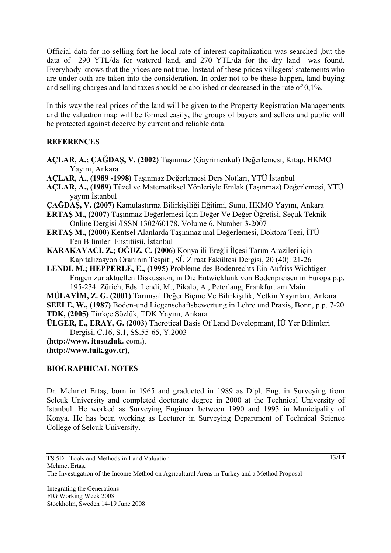Official data for no selling fort he local rate of interest capitalization was searched ,but the data of 290 YTL/da for watered land, and 270 YTL/da for the dry land was found. Everybody knows that the prices are not true. Instead of these prices villagers' statements who are under oath are taken into the consideration. In order not to be these happen, land buying and selling charges and land taxes should be abolished or decreased in the rate of 0,1%.

In this way the real prices of the land will be given to the Property Registration Managements and the valuation map will be formed easily, the groups of buyers and sellers and public will be protected against deceive by current and reliable data.

### **REFERENCES**

- **AÇLAR, A.; ÇAĞDAŞ, V. (2002)** Taşınmaz (Gayrimenkul) Değerlemesi, Kitap, HKMO Yayını, Ankara
- **AÇLAR, A., (1989 -1998)** Taşınmaz Değerlemesi Ders Notları, YTÜ İstanbul
- **AÇLAR, A., (1989)** Tüzel ve Matematiksel Yönleriyle Emlak (Taşınmaz) Değerlemesi, YTÜ yayını İstanbul
- **ÇAĞDAŞ, V. (2007)** Kamulaştırma Bilirkişiliği Eğitimi, Sunu, HKMO Yayını, Ankara
- **ERTAŞ M., (2007)** Taşınmaz Değerlemesi İçin Değer Ve Değer Öğretisi, Seçuk Teknik Online Dergisi /ISSN 1302/60178, Volume 6, Number 3-2007
- **ERTAŞ M., (2000)** Kentsel Alanlarda Taşınmaz mal Değerlemesi, Doktora Tezi, İTÜ Fen Bilimleri Enstitüsü, İstanbul
- **KARAKAYACI, Z.; OĞUZ, C. (2006)** Konya ili Ereğli İlçesi Tarım Arazileri için Kapitalizasyon Oranının Tespiti, SÜ Ziraat Fakültesi Dergisi, 20 (40): 21-26
- **LENDI, M.; HEPPERLE, E., (1995)** Probleme des Bodenrechts Ein Aufriss Wichtiger Fragen zur aktuellen Diskussion, in Die Entwicklunk von Bodenpreisen in Europa p.p. 195-234 Zürich, Eds. Lendi, M., Pikalo, A., Peterlang, Frankfurt am Main
- **MÜLAYİM, Z. G. (2001)** Tarımsal Değer Biçme Ve Bilirkişilik, Yetkin Yayınları, Ankara **SEELE, W., (1987)** Boden-und Liegenschaftsbewertung in Lehre und Praxis, Bonn, p.p. 7-20 **TDK, (2005)** Türkçe Sözlük, TDK Yayını, Ankara
- **ÜLGER, E., ERAY, G. (2003)** Therotical Basis Of Land Developmant, İÜ Yer Bilimleri Dergisi, C.16, S.1, SS.55-65, Y.2003

**(http://www. itusozluk. com.)**.

**(http://www.tuik.gov.tr)**,

## **BIOGRAPHICAL NOTES**

Dr. Mehmet Ertaş, born in 1965 and gradueted in 1989 as Dipl. Eng. in Surveying from Selcuk University and completed doctorate degree in 2000 at the Technical University of Istanbul. He worked as Surveying Engineer between 1990 and 1993 in Municipality of Konya. He has been working as Lecturer in Surveying Department of Technical Science College of Selcuk University.